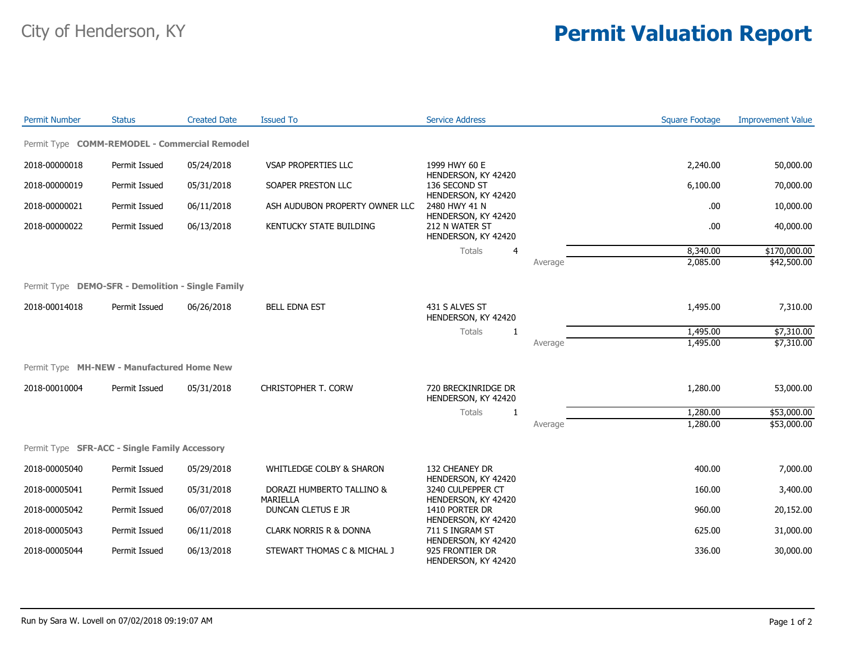## City of Henderson, KY **Permit Valuation Report**

| <b>Permit Number</b> | <b>Status</b>                                     | <b>Created Date</b> | <b>Issued To</b>                    | <b>Service Address</b>                                        |         | <b>Square Footage</b> | <b>Improvement Value</b> |
|----------------------|---------------------------------------------------|---------------------|-------------------------------------|---------------------------------------------------------------|---------|-----------------------|--------------------------|
|                      | Permit Type COMM-REMODEL - Commercial Remodel     |                     |                                     |                                                               |         |                       |                          |
| 2018-00000018        | Permit Issued                                     | 05/24/2018          | <b>VSAP PROPERTIES LLC</b>          | 1999 HWY 60 E                                                 |         | 2,240.00              | 50,000.00                |
| 2018-00000019        | Permit Issued                                     | 05/31/2018          | SOAPER PRESTON LLC                  | HENDERSON, KY 42420<br>136 SECOND ST                          |         | 6,100.00              | 70,000.00                |
| 2018-00000021        | Permit Issued                                     | 06/11/2018          | ASH AUDUBON PROPERTY OWNER LLC      | HENDERSON, KY 42420<br>2480 HWY 41 N                          |         | .00.                  | 10,000.00                |
| 2018-00000022        | Permit Issued                                     | 06/13/2018          | <b>KENTUCKY STATE BUILDING</b>      | HENDERSON, KY 42420<br>212 N WATER ST<br>HENDERSON, KY 42420  |         | .00.                  | 40,000.00                |
|                      |                                                   |                     |                                     | Totals<br>$\overline{4}$                                      |         | 8,340.00              | \$170,000.00             |
|                      |                                                   |                     |                                     |                                                               | Average | 2,085.00              | \$42,500.00              |
|                      | Permit Type DEMO-SFR - Demolition - Single Family |                     |                                     |                                                               |         |                       |                          |
| 2018-00014018        | Permit Issued                                     | 06/26/2018          | <b>BELL EDNA EST</b>                | 431 S ALVES ST<br>HENDERSON, KY 42420                         |         | 1,495.00              | 7,310.00                 |
|                      |                                                   |                     |                                     | Totals<br>$\mathbf{1}$                                        |         | 1,495.00              | \$7,310.00               |
|                      |                                                   |                     |                                     |                                                               | Average | 1,495.00              | \$7,310.00               |
|                      | Permit Type MH-NEW - Manufactured Home New        |                     |                                     |                                                               |         |                       |                          |
| 2018-00010004        | Permit Issued                                     | 05/31/2018          | <b>CHRISTOPHER T. CORW</b>          | 720 BRECKINRIDGE DR<br>HENDERSON, KY 42420                    |         | 1,280.00              | 53,000.00                |
|                      |                                                   |                     |                                     | Totals<br>-1                                                  |         | 1,280.00              | \$53,000.00              |
|                      |                                                   |                     |                                     |                                                               | Average | 1,280.00              | \$53,000.00              |
|                      | Permit Type SFR-ACC - Single Family Accessory     |                     |                                     |                                                               |         |                       |                          |
| 2018-00005040        | Permit Issued                                     | 05/29/2018          | <b>WHITLEDGE COLBY &amp; SHARON</b> | 132 CHEANEY DR                                                |         | 400.00                | 7,000.00                 |
| 2018-00005041        | Permit Issued                                     | 05/31/2018          | DORAZI HUMBERTO TALLINO &           | HENDERSON, KY 42420<br>3240 CULPEPPER CT                      |         | 160.00                | 3,400.00                 |
| 2018-00005042        | Permit Issued                                     | 06/07/2018          | MARIELLA<br>DUNCAN CLETUS E JR      | HENDERSON, KY 42420<br>1410 PORTER DR                         |         | 960.00                | 20,152.00                |
| 2018-00005043        | Permit Issued                                     | 06/11/2018          | <b>CLARK NORRIS R &amp; DONNA</b>   | HENDERSON, KY 42420<br>711 S INGRAM ST                        |         | 625.00                | 31,000.00                |
| 2018-00005044        | Permit Issued                                     | 06/13/2018          | STEWART THOMAS C & MICHAL J         | HENDERSON, KY 42420<br>925 FRONTIER DR<br>HENDERSON, KY 42420 |         | 336.00                | 30,000.00                |